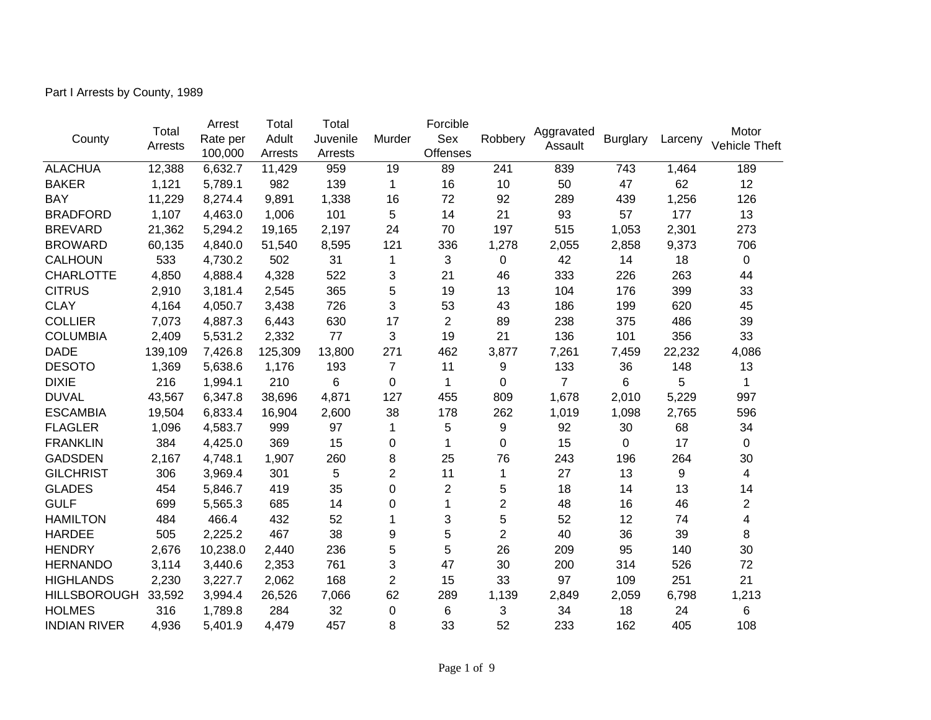Part I Arrests by County, 1989

| County              | Total   | Arrest<br>Rate per | Total<br>Adult | Total<br>Juvenile | Murder           | Forcible<br>Sex | Robbery | Aggravated     | <b>Burglary</b> | Larceny | Motor                |
|---------------------|---------|--------------------|----------------|-------------------|------------------|-----------------|---------|----------------|-----------------|---------|----------------------|
|                     | Arrests | 100,000            | Arrests        | Arrests           |                  | <b>Offenses</b> |         | Assault        |                 |         | <b>Vehicle Theft</b> |
| <b>ALACHUA</b>      | 12,388  | 6,632.7            | 11,429         | 959               | 19               | 89              | 241     | 839            | 743             | 1,464   | 189                  |
| <b>BAKER</b>        | 1,121   | 5,789.1            | 982            | 139               | 1                | 16              | 10      | 50             | 47              | 62      | 12                   |
| <b>BAY</b>          | 11,229  | 8,274.4            | 9,891          | 1,338             | 16               | 72              | 92      | 289            | 439             | 1,256   | 126                  |
| <b>BRADFORD</b>     | 1,107   | 4,463.0            | 1,006          | 101               | 5                | 14              | 21      | 93             | 57              | 177     | 13                   |
| <b>BREVARD</b>      | 21,362  | 5,294.2            | 19,165         | 2,197             | 24               | 70              | 197     | 515            | 1,053           | 2,301   | 273                  |
| <b>BROWARD</b>      | 60,135  | 4,840.0            | 51,540         | 8,595             | 121              | 336             | 1,278   | 2,055          | 2,858           | 9,373   | 706                  |
| <b>CALHOUN</b>      | 533     | 4,730.2            | 502            | 31                | 1                | 3               | 0       | 42             | 14              | 18      | 0                    |
| <b>CHARLOTTE</b>    | 4,850   | 4,888.4            | 4,328          | 522               | 3                | 21              | 46      | 333            | 226             | 263     | 44                   |
| <b>CITRUS</b>       | 2,910   | 3,181.4            | 2,545          | 365               | 5                | 19              | 13      | 104            | 176             | 399     | 33                   |
| <b>CLAY</b>         | 4,164   | 4,050.7            | 3,438          | 726               | 3                | 53              | 43      | 186            | 199             | 620     | 45                   |
| <b>COLLIER</b>      | 7,073   | 4,887.3            | 6,443          | 630               | 17               | $\overline{2}$  | 89      | 238            | 375             | 486     | 39                   |
| <b>COLUMBIA</b>     | 2,409   | 5,531.2            | 2,332          | 77                | 3                | 19              | 21      | 136            | 101             | 356     | 33                   |
| <b>DADE</b>         | 139,109 | 7,426.8            | 125,309        | 13,800            | 271              | 462             | 3,877   | 7,261          | 7,459           | 22,232  | 4,086                |
| <b>DESOTO</b>       | 1,369   | 5,638.6            | 1,176          | 193               | 7                | 11              | 9       | 133            | 36              | 148     | 13                   |
| <b>DIXIE</b>        | 216     | 1,994.1            | 210            | 6                 | $\Omega$         | 1               | 0       | $\overline{7}$ | 6               | 5       | 1                    |
| <b>DUVAL</b>        | 43,567  | 6,347.8            | 38,696         | 4,871             | 127              | 455             | 809     | 1,678          | 2,010           | 5,229   | 997                  |
| <b>ESCAMBIA</b>     | 19,504  | 6,833.4            | 16,904         | 2,600             | 38               | 178             | 262     | 1,019          | 1,098           | 2,765   | 596                  |
| <b>FLAGLER</b>      | 1,096   | 4,583.7            | 999            | 97                | 1                | 5               | 9       | 92             | 30              | 68      | 34                   |
| <b>FRANKLIN</b>     | 384     | 4,425.0            | 369            | 15                | 0                | 1               | 0       | 15             | 0               | 17      | 0                    |
| <b>GADSDEN</b>      | 2,167   | 4,748.1            | 1,907          | 260               | 8                | 25              | 76      | 243            | 196             | 264     | 30                   |
| <b>GILCHRIST</b>    | 306     | 3,969.4            | 301            | 5                 | $\overline{c}$   | 11              | 1       | 27             | 13              | 9       | 4                    |
| <b>GLADES</b>       | 454     | 5,846.7            | 419            | 35                | 0                | 2               | 5       | 18             | 14              | 13      | 14                   |
| <b>GULF</b>         | 699     | 5,565.3            | 685            | 14                | 0                | 1               | 2       | 48             | 16              | 46      | $\overline{2}$       |
| <b>HAMILTON</b>     | 484     | 466.4              | 432            | 52                | 1                | 3               | 5       | 52             | 12              | 74      | 4                    |
| <b>HARDEE</b>       | 505     | 2,225.2            | 467            | 38                | 9                | 5               | 2       | 40             | 36              | 39      | 8                    |
| <b>HENDRY</b>       | 2,676   | 10,238.0           | 2,440          | 236               | 5                | 5               | 26      | 209            | 95              | 140     | 30                   |
| <b>HERNANDO</b>     | 3,114   | 3,440.6            | 2,353          | 761               | 3                | 47              | 30      | 200            | 314             | 526     | 72                   |
| <b>HIGHLANDS</b>    | 2,230   | 3,227.7            | 2,062          | 168               | $\overline{2}$   | 15              | 33      | 97             | 109             | 251     | 21                   |
| <b>HILLSBOROUGH</b> | 33,592  | 3,994.4            | 26,526         | 7,066             | 62               | 289             | 1,139   | 2,849          | 2,059           | 6,798   | 1,213                |
| <b>HOLMES</b>       | 316     | 1,789.8            | 284            | 32                | $\boldsymbol{0}$ | 6               | 3       | 34             | 18              | 24      | 6                    |
| <b>INDIAN RIVER</b> | 4,936   | 5,401.9            | 4,479          | 457               | 8                | 33              | 52      | 233            | 162             | 405     | 108                  |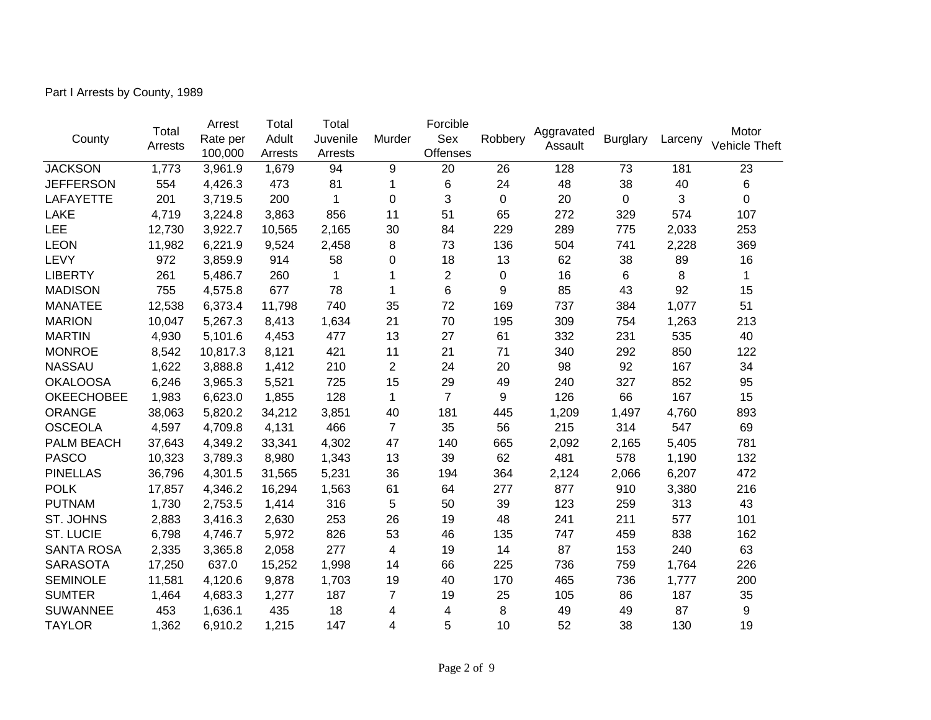Part I Arrests by County, 1989

|                   | Total   | Arrest   | Total   | Total    |                | Forcible       |         | Aggravated |                 |                                                                                                                                                                                                          | Motor                |
|-------------------|---------|----------|---------|----------|----------------|----------------|---------|------------|-----------------|----------------------------------------------------------------------------------------------------------------------------------------------------------------------------------------------------------|----------------------|
| County            | Arrests | Rate per | Adult   | Juvenile | Murder         | Sex            | Robbery | Assault    | <b>Burglary</b> | Larceny<br>181<br>40<br>3<br>574<br>2,033<br>2,228<br>89<br>8<br>92<br>1,077<br>1,263<br>535<br>850<br>167<br>852<br>167<br>4,760<br>547<br>5,405<br>1,190<br>6,207<br>3,380<br>313<br>577<br>838<br>240 | <b>Vehicle Theft</b> |
|                   |         | 100,000  | Arrests | Arrests  |                | Offenses       |         |            |                 |                                                                                                                                                                                                          |                      |
| <b>JACKSON</b>    | 1,773   | 3,961.9  | 1,679   | 94       | 9              | 20             | 26      | 128        | 73              |                                                                                                                                                                                                          | 23                   |
| <b>JEFFERSON</b>  | 554     | 4,426.3  | 473     | 81       | 1              | 6              | 24      | 48         | 38              |                                                                                                                                                                                                          | 6                    |
| <b>LAFAYETTE</b>  | 201     | 3,719.5  | 200     | 1        | 0              | 3              | 0       | 20         | $\mathbf 0$     |                                                                                                                                                                                                          | 0                    |
| <b>LAKE</b>       | 4,719   | 3,224.8  | 3,863   | 856      | 11             | 51             | 65      | 272        | 329             |                                                                                                                                                                                                          | 107                  |
| LEE               | 12,730  | 3,922.7  | 10,565  | 2,165    | 30             | 84             | 229     | 289        | 775             |                                                                                                                                                                                                          | 253                  |
| <b>LEON</b>       | 11,982  | 6,221.9  | 9,524   | 2,458    | 8              | 73             | 136     | 504        | 741             |                                                                                                                                                                                                          | 369                  |
| LEVY              | 972     | 3,859.9  | 914     | 58       | 0              | 18             | 13      | 62         | 38              |                                                                                                                                                                                                          | 16                   |
| <b>LIBERTY</b>    | 261     | 5,486.7  | 260     | 1        | 1              | $\overline{2}$ | 0       | 16         | 6               |                                                                                                                                                                                                          | $\mathbf{1}$         |
| <b>MADISON</b>    | 755     | 4,575.8  | 677     | 78       | 1              | 6              | 9       | 85         | 43              |                                                                                                                                                                                                          | 15                   |
| <b>MANATEE</b>    | 12,538  | 6,373.4  | 11,798  | 740      | 35             | 72             | 169     | 737        | 384             |                                                                                                                                                                                                          | 51                   |
| <b>MARION</b>     | 10,047  | 5,267.3  | 8,413   | 1,634    | 21             | 70             | 195     | 309        | 754             |                                                                                                                                                                                                          | 213                  |
| <b>MARTIN</b>     | 4,930   | 5,101.6  | 4,453   | 477      | 13             | 27             | 61      | 332        | 231             |                                                                                                                                                                                                          | 40                   |
| <b>MONROE</b>     | 8,542   | 10,817.3 | 8,121   | 421      | 11             | 21             | 71      | 340        | 292             |                                                                                                                                                                                                          | 122                  |
| <b>NASSAU</b>     | 1,622   | 3,888.8  | 1,412   | 210      | $\overline{2}$ | 24             | 20      | 98         | 92              |                                                                                                                                                                                                          | 34                   |
| <b>OKALOOSA</b>   | 6,246   | 3,965.3  | 5,521   | 725      | 15             | 29             | 49      | 240        | 327             |                                                                                                                                                                                                          | 95                   |
| <b>OKEECHOBEE</b> | 1,983   | 6,623.0  | 1,855   | 128      | 1              | $\overline{7}$ | 9       | 126        | 66              |                                                                                                                                                                                                          | 15                   |
| <b>ORANGE</b>     | 38,063  | 5,820.2  | 34,212  | 3,851    | 40             | 181            | 445     | 1,209      | 1,497           |                                                                                                                                                                                                          | 893                  |
| <b>OSCEOLA</b>    | 4,597   | 4,709.8  | 4,131   | 466      | $\overline{7}$ | 35             | 56      | 215        | 314             |                                                                                                                                                                                                          | 69                   |
| PALM BEACH        | 37,643  | 4,349.2  | 33,341  | 4,302    | 47             | 140            | 665     | 2,092      | 2,165           |                                                                                                                                                                                                          | 781                  |
| <b>PASCO</b>      | 10,323  | 3,789.3  | 8,980   | 1,343    | 13             | 39             | 62      | 481        | 578             |                                                                                                                                                                                                          | 132                  |
| <b>PINELLAS</b>   | 36,796  | 4,301.5  | 31,565  | 5,231    | 36             | 194            | 364     | 2,124      | 2,066           |                                                                                                                                                                                                          | 472                  |
| <b>POLK</b>       | 17,857  | 4,346.2  | 16,294  | 1,563    | 61             | 64             | 277     | 877        | 910             |                                                                                                                                                                                                          | 216                  |
| <b>PUTNAM</b>     | 1,730   | 2,753.5  | 1,414   | 316      | 5              | 50             | 39      | 123        | 259             |                                                                                                                                                                                                          | 43                   |
| ST. JOHNS         | 2,883   | 3,416.3  | 2,630   | 253      | 26             | 19             | 48      | 241        | 211             |                                                                                                                                                                                                          | 101                  |
| <b>ST. LUCIE</b>  | 6,798   | 4,746.7  | 5,972   | 826      | 53             | 46             | 135     | 747        | 459             |                                                                                                                                                                                                          | 162                  |
| <b>SANTA ROSA</b> | 2,335   | 3,365.8  | 2,058   | 277      | 4              | 19             | 14      | 87         | 153             |                                                                                                                                                                                                          | 63                   |
| <b>SARASOTA</b>   | 17,250  | 637.0    | 15,252  | 1,998    | 14             | 66             | 225     | 736        | 759             | 1,764                                                                                                                                                                                                    | 226                  |
| <b>SEMINOLE</b>   | 11,581  | 4,120.6  | 9,878   | 1,703    | 19             | 40             | 170     | 465        | 736             | 1,777                                                                                                                                                                                                    | 200                  |
| <b>SUMTER</b>     | 1,464   | 4,683.3  | 1,277   | 187      | 7              | 19             | 25      | 105        | 86              | 187                                                                                                                                                                                                      | 35                   |
| <b>SUWANNEE</b>   | 453     | 1,636.1  | 435     | 18       | 4              | 4              | 8       | 49         | 49              | 87                                                                                                                                                                                                       | 9                    |
| <b>TAYLOR</b>     | 1,362   | 6,910.2  | 1,215   | 147      | 4              | 5              | 10      | 52         | 38              | 130                                                                                                                                                                                                      | 19                   |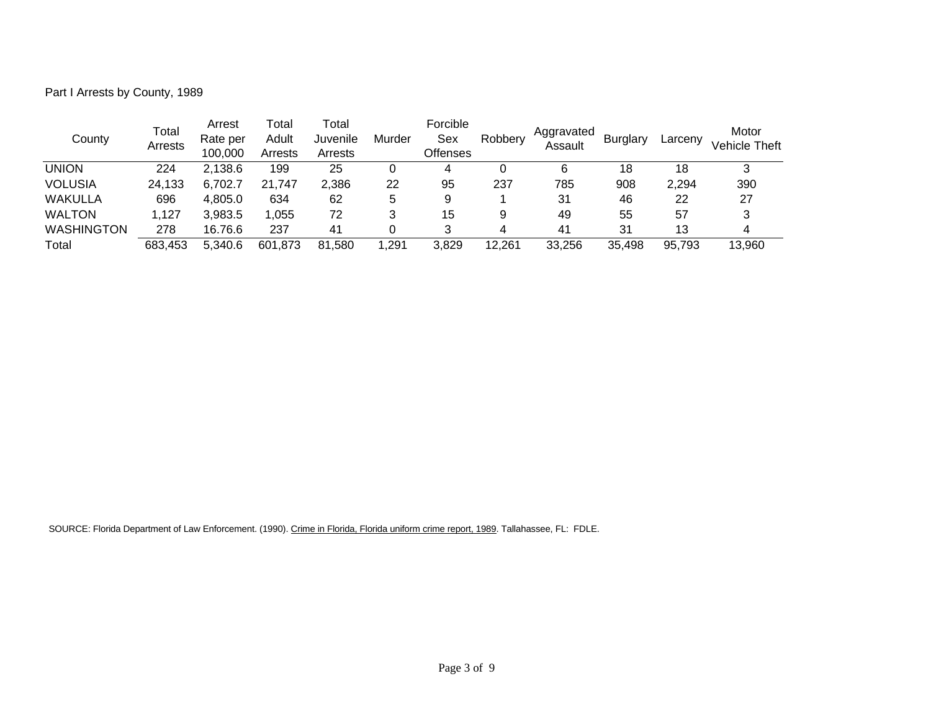Part I Arrests by County, 1989

| County            | Total<br>Arrests | Arrest<br>Rate per<br>100,000 | Total<br>Adult<br>Arrests | Total<br>Juvenile<br>Arrests | Murder | Forcible<br>Sex<br><b>Offenses</b> | Robbery | Aggravated<br>Assault | <b>Burglary</b> | Larcenv | Motor<br>Vehicle Theft |
|-------------------|------------------|-------------------------------|---------------------------|------------------------------|--------|------------------------------------|---------|-----------------------|-----------------|---------|------------------------|
| <b>UNION</b>      | 224              | 2,138.6                       | 199                       | 25                           |        | 4                                  |         | 6                     | 18              | 18      | າ                      |
| <b>VOLUSIA</b>    | 24,133           | 6.702.7                       | 21.747                    | 2,386                        | 22     | 95                                 | 237     | 785                   | 908             | 2,294   | 390                    |
| WAKULLA           | 696              | 4.805.0                       | 634                       | 62                           | 5      | 9                                  |         | 31                    | 46              | 22      | 27                     |
| <b>WALTON</b>     | 1,127            | 3.983.5                       | 1.055                     | 72                           |        | 15                                 | 9       | 49                    | 55              | 57      |                        |
| <b>WASHINGTON</b> | 278              | 16.76.6                       | 237                       | 41                           |        |                                    | 4       | 41                    | 31              | 13      | 4                      |
| Total             | 683,453          | 5.340.6                       | 601,873                   | 81,580                       | .291   | 3,829                              | 12.261  | 33,256                | 35,498          | 95,793  | 13,960                 |

SOURCE: Florida Department of Law Enforcement. (1990). Crime in Florida, Florida uniform crime report, 1989. Tallahassee, FL: FDLE.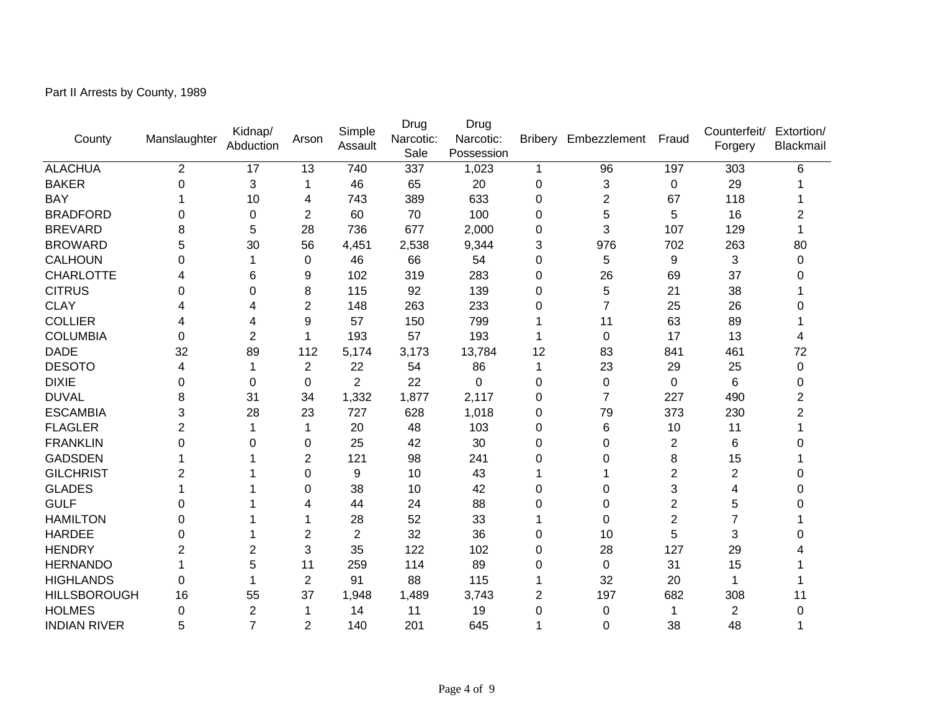Part II Arrests by County, 1989

| County              | Manslaughter | Kidnap/<br>Abduction | Arson          | Simple<br>Assault | Drug<br>Narcotic:<br>Sale | Drug<br>Narcotic:<br>Possession | <b>Bribery</b> | Embezzlement   | Fraud          | Counterfeit/<br>Forgery | Extortion/<br>Blackmail |
|---------------------|--------------|----------------------|----------------|-------------------|---------------------------|---------------------------------|----------------|----------------|----------------|-------------------------|-------------------------|
| <b>ALACHUA</b>      | 2            | 17                   | 13             | 740               | 337                       | 1,023                           | 1              | 96             | 197            | 303                     | 6                       |
| <b>BAKER</b>        | 0            | 3                    | 1              | 46                | 65                        | 20                              | 0              | 3              | $\Omega$       | 29                      |                         |
| <b>BAY</b>          |              | 10                   | 4              | 743               | 389                       | 633                             | 0              | 2              | 67             | 118                     |                         |
| <b>BRADFORD</b>     | 0            | 0                    | $\overline{2}$ | 60                | 70                        | 100                             | 0              | 5              | 5              | 16                      |                         |
| <b>BREVARD</b>      | 8            | 5                    | 28             | 736               | 677                       | 2,000                           | 0              | 3              | 107            | 129                     |                         |
| <b>BROWARD</b>      | 5            | 30                   | 56             | 4,451             | 2,538                     | 9,344                           | 3              | 976            | 702            | 263                     | 80                      |
| <b>CALHOUN</b>      | 0            | 1                    | $\mathbf 0$    | 46                | 66                        | 54                              | $\mathbf 0$    | 5              | 9              | 3                       | 0                       |
| <b>CHARLOTTE</b>    | 4            | 6                    | 9              | 102               | 319                       | 283                             | 0              | 26             | 69             | 37                      |                         |
| <b>CITRUS</b>       | 0            | 0                    | 8              | 115               | 92                        | 139                             | 0              | 5              | 21             | 38                      |                         |
| <b>CLAY</b>         | 4            | 4                    | $\overline{2}$ | 148               | 263                       | 233                             | 0              | $\overline{7}$ | 25             | 26                      | 0                       |
| <b>COLLIER</b>      | 4            | 4                    | 9              | 57                | 150                       | 799                             |                | 11             | 63             | 89                      |                         |
| <b>COLUMBIA</b>     | 0            | $\overline{2}$       | 1              | 193               | 57                        | 193                             |                | 0              | 17             | 13                      |                         |
| <b>DADE</b>         | 32           | 89                   | 112            | 5,174             | 3,173                     | 13,784                          | 12             | 83             | 841            | 461                     | 72                      |
| <b>DESOTO</b>       | 4            | 1                    | $\overline{2}$ | 22                | 54                        | 86                              | 1              | 23             | 29             | 25                      | 0                       |
| <b>DIXIE</b>        | 0            | 0                    | 0              | $\overline{2}$    | 22                        | 0                               | 0              | 0              | $\mathbf 0$    | 6                       | 0                       |
| <b>DUVAL</b>        | 8            | 31                   | 34             | 1,332             | 1,877                     | 2,117                           | 0              | $\overline{7}$ | 227            | 490                     | $\overline{2}$          |
| <b>ESCAMBIA</b>     | 3            | 28                   | 23             | 727               | 628                       | 1,018                           | 0              | 79             | 373            | 230                     | $\overline{2}$          |
| <b>FLAGLER</b>      | 2            | 1                    | $\mathbf 1$    | 20                | 48                        | 103                             | 0              | 6              | 10             | 11                      |                         |
| <b>FRANKLIN</b>     | 0            | $\Omega$             | $\Omega$       | 25                | 42                        | 30                              | 0              | 0              | $\overline{2}$ | 6                       | 0                       |
| <b>GADSDEN</b>      |              |                      | $\overline{2}$ | 121               | 98                        | 241                             | 0              | 0              | 8              | 15                      |                         |
| <b>GILCHRIST</b>    | 2            |                      | $\mathbf 0$    | 9                 | 10                        | 43                              |                |                | $\overline{2}$ | $\overline{c}$          |                         |
| <b>GLADES</b>       |              |                      | $\mathbf 0$    | 38                | 10                        | 42                              | 0              | 0              | 3              | 4                       |                         |
| <b>GULF</b>         | 0            |                      | 4              | 44                | 24                        | 88                              | 0              | 0              | $\overline{c}$ | 5                       |                         |
| <b>HAMILTON</b>     | 0            |                      |                | 28                | 52                        | 33                              |                | 0              | $\overline{2}$ | $\overline{7}$          |                         |
| <b>HARDEE</b>       | 0            |                      | $\overline{2}$ | $\overline{2}$    | 32                        | 36                              | 0              | 10             | 5              | 3                       |                         |
| <b>HENDRY</b>       | 2            | $\overline{2}$       | 3              | 35                | 122                       | 102                             | 0              | 28             | 127            | 29                      |                         |
| <b>HERNANDO</b>     |              | 5                    | 11             | 259               | 114                       | 89                              | 0              | 0              | 31             | 15                      |                         |
| <b>HIGHLANDS</b>    | $\Omega$     | 1                    | $\overline{2}$ | 91                | 88                        | 115                             | 1              | 32             | 20             | 1                       |                         |
| <b>HILLSBOROUGH</b> | 16           | 55                   | 37             | 1,948             | 1,489                     | 3,743                           | 2              | 197            | 682            | 308                     | 11                      |
| <b>HOLMES</b>       | 0            | $\overline{2}$       | 1              | 14                | 11                        | 19                              | 0              | 0              | 1              | $\overline{2}$          | 0                       |
| <b>INDIAN RIVER</b> | 5            | $\overline{7}$       | $\overline{2}$ | 140               | 201                       | 645                             |                | 0              | 38             | 48                      |                         |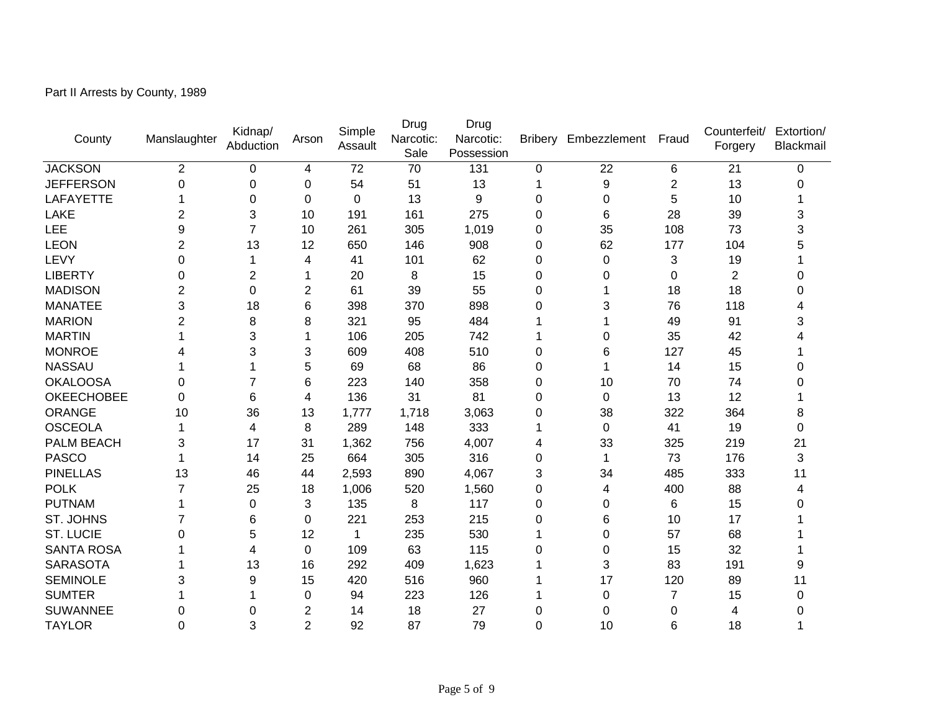| Part II Arrests by County, 1989 |  |
|---------------------------------|--|
|                                 |  |

| County            | Manslaughter   | Kidnap/<br>Abduction | Arson          | Simple<br>Assault | Drug<br>Narcotic:<br>Sale | Drug<br>Narcotic:<br>Possession | <b>Bribery</b> | Embezzlement | Fraud          | Counterfeit/<br>Forgery | Extortion/<br>Blackmail |
|-------------------|----------------|----------------------|----------------|-------------------|---------------------------|---------------------------------|----------------|--------------|----------------|-------------------------|-------------------------|
| <b>JACKSON</b>    | $\overline{2}$ | 0                    | 4              | 72                | 70                        | 131                             | 0              | 22           | 6              | 21                      | 0                       |
| <b>JEFFERSON</b>  | 0              | 0                    | 0              | 54                | 51                        | 13                              | 1              | 9            | 2              | 13                      | 0                       |
| LAFAYETTE         |                | 0                    | $\mathbf 0$    | $\mathbf 0$       | 13                        | 9                               | 0              | $\mathbf 0$  | 5              | 10                      |                         |
| LAKE              | 2              | 3                    | 10             | 191               | 161                       | 275                             | 0              | 6            | 28             | 39                      | 3                       |
| <b>LEE</b>        | 9              | $\overline{7}$       | 10             | 261               | 305                       | 1,019                           | 0              | 35           | 108            | 73                      | 3                       |
| <b>LEON</b>       | 2              | 13                   | 12             | 650               | 146                       | 908                             | 0              | 62           | 177            | 104                     |                         |
| LEVY              | 0              | 1                    | 4              | 41                | 101                       | 62                              | 0              | $\mathbf 0$  | 3              | 19                      |                         |
| <b>LIBERTY</b>    | 0              | $\overline{c}$       | 1              | 20                | 8                         | 15                              | 0              | 0            | 0              | $\overline{2}$          | 0                       |
| <b>MADISON</b>    | 2              | 0                    | $\overline{c}$ | 61                | 39                        | 55                              | 0              |              | 18             | 18                      | 0                       |
| <b>MANATEE</b>    | 3              | 18                   | 6              | 398               | 370                       | 898                             | 0              | 3            | 76             | 118                     | 4                       |
| <b>MARION</b>     | 2              | 8                    | 8              | 321               | 95                        | 484                             | 1              |              | 49             | 91                      | 3                       |
| <b>MARTIN</b>     |                | 3                    | 1              | 106               | 205                       | 742                             | 1              | 0            | 35             | 42                      |                         |
| <b>MONROE</b>     |                | 3                    | 3              | 609               | 408                       | 510                             | 0              | 6            | 127            | 45                      |                         |
| <b>NASSAU</b>     |                | 1                    | 5              | 69                | 68                        | 86                              | 0              | 1            | 14             | 15                      | 0                       |
| <b>OKALOOSA</b>   | 0              | $\overline{7}$       | 6              | 223               | 140                       | 358                             | 0              | 10           | 70             | 74                      | 0                       |
| <b>OKEECHOBEE</b> | 0              | 6                    | 4              | 136               | 31                        | 81                              | 0              | 0            | 13             | 12                      |                         |
| ORANGE            | 10             | 36                   | 13             | 1,777             | 1,718                     | 3,063                           | 0              | 38           | 322            | 364                     | 8                       |
| <b>OSCEOLA</b>    |                | 4                    | 8              | 289               | 148                       | 333                             | 1              | 0            | 41             | 19                      | 0                       |
| PALM BEACH        | 3              | 17                   | 31             | 1,362             | 756                       | 4,007                           | 4              | 33           | 325            | 219                     | 21                      |
| <b>PASCO</b>      |                | 14                   | 25             | 664               | 305                       | 316                             | 0              | 1            | 73             | 176                     | 3                       |
| <b>PINELLAS</b>   | 13             | 46                   | 44             | 2,593             | 890                       | 4,067                           | 3              | 34           | 485            | 333                     | 11                      |
| <b>POLK</b>       | 7              | 25                   | 18             | 1,006             | 520                       | 1,560                           | 0              | 4            | 400            | 88                      | 4                       |
| <b>PUTNAM</b>     |                | 0                    | 3              | 135               | 8                         | 117                             | 0              | 0            | 6              | 15                      | 0                       |
| ST. JOHNS         |                | 6                    | $\Omega$       | 221               | 253                       | 215                             | 0              | 6            | 10             | 17                      |                         |
| <b>ST. LUCIE</b>  | 0              | 5                    | 12             | $\mathbf 1$       | 235                       | 530                             | 1              | $\Omega$     | 57             | 68                      |                         |
| <b>SANTA ROSA</b> |                | 4                    | 0              | 109               | 63                        | 115                             | 0              | 0            | 15             | 32                      |                         |
| <b>SARASOTA</b>   |                | 13                   | 16             | 292               | 409                       | 1,623                           |                | 3            | 83             | 191                     | 9                       |
| <b>SEMINOLE</b>   | 3              | 9                    | 15             | 420               | 516                       | 960                             |                | 17           | 120            | 89                      | 11                      |
| <b>SUMTER</b>     |                |                      | $\Omega$       | 94                | 223                       | 126                             |                | 0            | $\overline{7}$ | 15                      | 0                       |
| <b>SUWANNEE</b>   | 0              | 0                    | 2              | 14                | 18                        | 27                              | 0              | $\Omega$     | 0              | 4                       | 0                       |
| <b>TAYLOR</b>     | 0              | 3                    | $\overline{2}$ | 92                | 87                        | 79                              | 0              | 10           | 6              | 18                      | 1                       |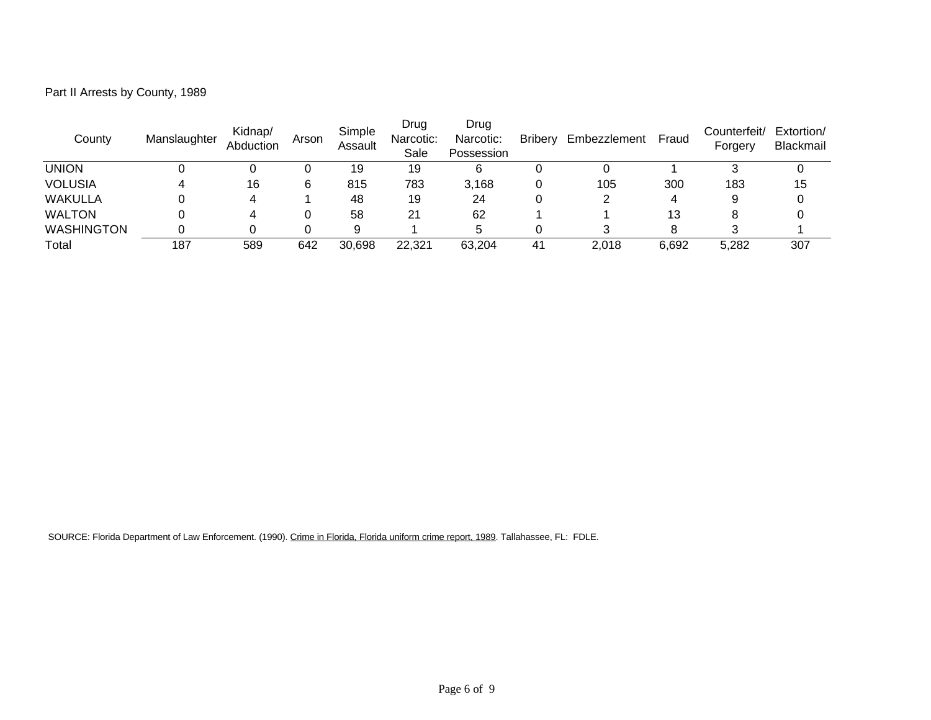| County         | Manslaughter | Kidnap/<br>Abduction | Arson | Simple<br>Assault | Drug<br>Narcotic:<br>Sale | Drug<br>Narcotic:<br>Possession | <b>Bribery</b> | Embezzlement Fraud |       | Counterfeit/<br>Forgery | Extorti<br><b>Blackn</b> |
|----------------|--------------|----------------------|-------|-------------------|---------------------------|---------------------------------|----------------|--------------------|-------|-------------------------|--------------------------|
| <b>UNION</b>   |              |                      |       | 19                | 19                        | 6                               | 0              |                    |       | 3                       | 0                        |
| <b>VOLUSIA</b> |              | 16                   | 6     | 815               | 783                       | 3,168                           | 0              | 105                | 300   | 183                     | 15                       |
| WAKULLA        |              | 4                    |       | 48                | 19                        | 24                              | 0              |                    | 4     | 9                       | 0                        |
| <b>WALTON</b>  |              | 4                    |       | 58                | 21                        | 62                              |                |                    | 13    | 8                       | 0                        |
| WASHINGTON     |              | 0                    |       | 9                 |                           | 5                               | 0              |                    | 8     | 3                       |                          |
| Total          | 187          | 589                  | 642   | 30,698            | 22,321                    | 63,204                          | 41             | 2,018              | 6,692 | 5,282                   | 307                      |

Extortion/ Blackmail

Part II Arrests by County, 1989

SOURCE: Florida Department of Law Enforcement. (1990). Crime in Florida, Florida uniform crime report, 1989. Tallahassee, FL: FDLE.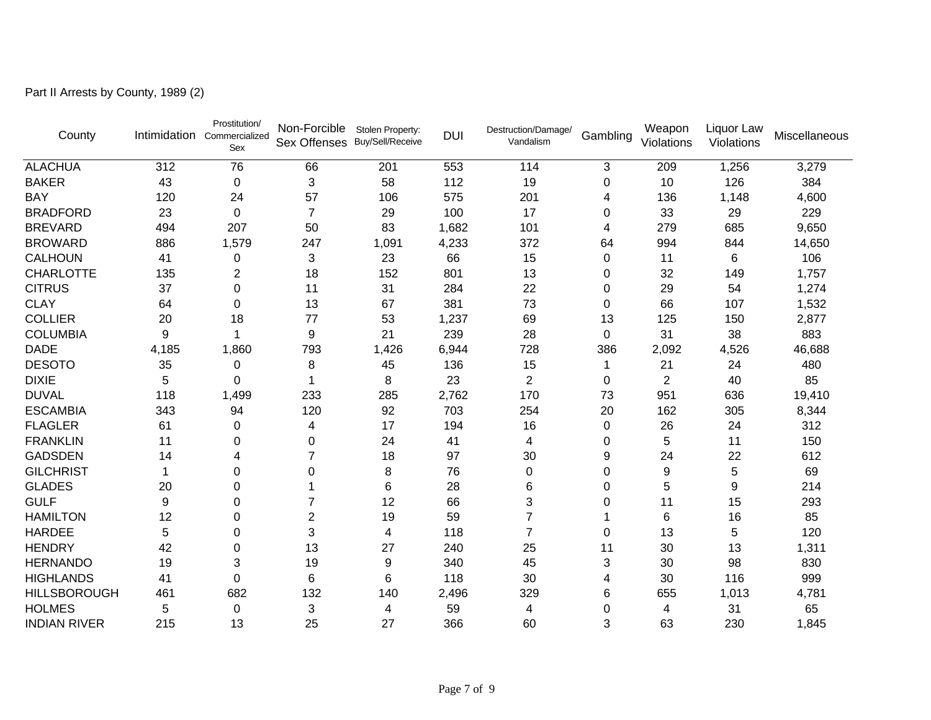Part II Arrests by County, 1989 (2)

| County              |       | Prostitution/<br>Intimidation Commercialized<br>Sex | Non-Forcible<br>Sex Offenses Buy/Sell/Receive | Stolen Property: | <b>DUI</b> | Destruction/Damage/<br>Vandalism | Gambling  | Weapon<br>Violations | Liquor Law<br>Violations | Miscellaneous |
|---------------------|-------|-----------------------------------------------------|-----------------------------------------------|------------------|------------|----------------------------------|-----------|----------------------|--------------------------|---------------|
| <b>ALACHUA</b>      | 312   | 76                                                  | 66                                            | 201              | 553        | 114                              | 3         | 209                  | 1,256                    | 3,279         |
| <b>BAKER</b>        | 43    | 0                                                   | 3                                             | 58               | 112        | 19                               | 0         | 10                   | 126                      | 384           |
| <b>BAY</b>          | 120   | 24                                                  | 57                                            | 106              | 575        | 201                              | 4         | 136                  | 1,148                    | 4,600         |
| <b>BRADFORD</b>     | 23    | 0                                                   | $\overline{7}$                                | 29               | 100        | 17                               | 0         | 33                   | 29                       | 229           |
| <b>BREVARD</b>      | 494   | 207                                                 | 50                                            | 83               | 1,682      | 101                              | 4         | 279                  | 685                      | 9,650         |
| <b>BROWARD</b>      | 886   | 1,579                                               | 247                                           | 1,091            | 4,233      | 372                              | 64        | 994                  | 844                      | 14,650        |
| <b>CALHOUN</b>      | 41    | 0                                                   | 3                                             | 23               | 66         | 15                               | 0         | 11                   | 6                        | 106           |
| <b>CHARLOTTE</b>    | 135   | 2                                                   | 18                                            | 152              | 801        | 13                               | 0         | 32                   | 149                      | 1,757         |
| <b>CITRUS</b>       | 37    | 0                                                   | 11                                            | 31               | 284        | 22                               | 0         | 29                   | 54                       | 1,274         |
| <b>CLAY</b>         | 64    | 0                                                   | 13                                            | 67               | 381        | 73                               | 0         | 66                   | 107                      | 1,532         |
| <b>COLLIER</b>      | 20    | 18                                                  | 77                                            | 53               | 1,237      | 69                               | 13        | 125                  | 150                      | 2,877         |
| <b>COLUMBIA</b>     | 9     |                                                     | 9                                             | 21               | 239        | 28                               | 0         | 31                   | 38                       | 883           |
| <b>DADE</b>         | 4,185 | 1,860                                               | 793                                           | 1,426            | 6,944      | 728                              | 386       | 2,092                | 4,526                    | 46,688        |
| <b>DESOTO</b>       | 35    | 0                                                   | 8                                             | 45               | 136        | 15                               |           | 21                   | 24                       | 480           |
| <b>DIXIE</b>        | 5     | 0                                                   | 1                                             | 8                | 23         | 2                                | 0         | 2                    | 40                       | 85            |
| <b>DUVAL</b>        | 118   | 1,499                                               | 233                                           | 285              | 2,762      | 170                              | 73        | 951                  | 636                      | 19,410        |
| <b>ESCAMBIA</b>     | 343   | 94                                                  | 120                                           | 92               | 703        | 254                              | 20        | 162                  | 305                      | 8,344         |
| <b>FLAGLER</b>      | 61    | 0                                                   | 4                                             | 17               | 194        | 16                               | $\pmb{0}$ | 26                   | 24                       | 312           |
| <b>FRANKLIN</b>     | 11    | 0                                                   | 0                                             | 24               | 41         | 4                                | 0         | 5                    | 11                       | 150           |
| <b>GADSDEN</b>      | 14    | 4                                                   | 7                                             | 18               | 97         | 30                               | 9         | 24                   | 22                       | 612           |
| <b>GILCHRIST</b>    |       | 0                                                   | 0                                             | 8                | 76         | 0                                | 0         | 9                    | 5                        | 69            |
| <b>GLADES</b>       | 20    | 0                                                   |                                               | 6                | 28         | 6                                | 0         | 5                    | 9                        | 214           |
| <b>GULF</b>         | 9     | $\Omega$                                            | 7                                             | 12               | 66         | 3                                | 0         | 11                   | 15                       | 293           |
| <b>HAMILTON</b>     | 12    | 0                                                   | $\overline{c}$                                | 19               | 59         | 7                                |           | 6                    | 16                       | 85            |
| <b>HARDEE</b>       | 5     | 0                                                   | 3                                             | 4                | 118        | $\overline{7}$                   | 0         | 13                   | 5                        | 120           |
| <b>HENDRY</b>       | 42    | 0                                                   | 13                                            | 27               | 240        | 25                               | 11        | 30                   | 13                       | 1,311         |
| <b>HERNANDO</b>     | 19    | 3                                                   | 19                                            | 9                | 340        | 45                               | 3         | 30                   | 98                       | 830           |
| <b>HIGHLANDS</b>    | 41    | $\Omega$                                            | 6                                             | 6                | 118        | 30                               | 4         | 30                   | 116                      | 999           |
| <b>HILLSBOROUGH</b> | 461   | 682                                                 | 132                                           | 140              | 2,496      | 329                              | 6         | 655                  | 1,013                    | 4,781         |
| <b>HOLMES</b>       | 5     | 0                                                   | 3                                             | 4                | 59         | 4                                | 0         | 4                    | 31                       | 65            |
| <b>INDIAN RIVER</b> | 215   | 13                                                  | 25                                            | 27               | 366        | 60                               | 3         | 63                   | 230                      | 1,845         |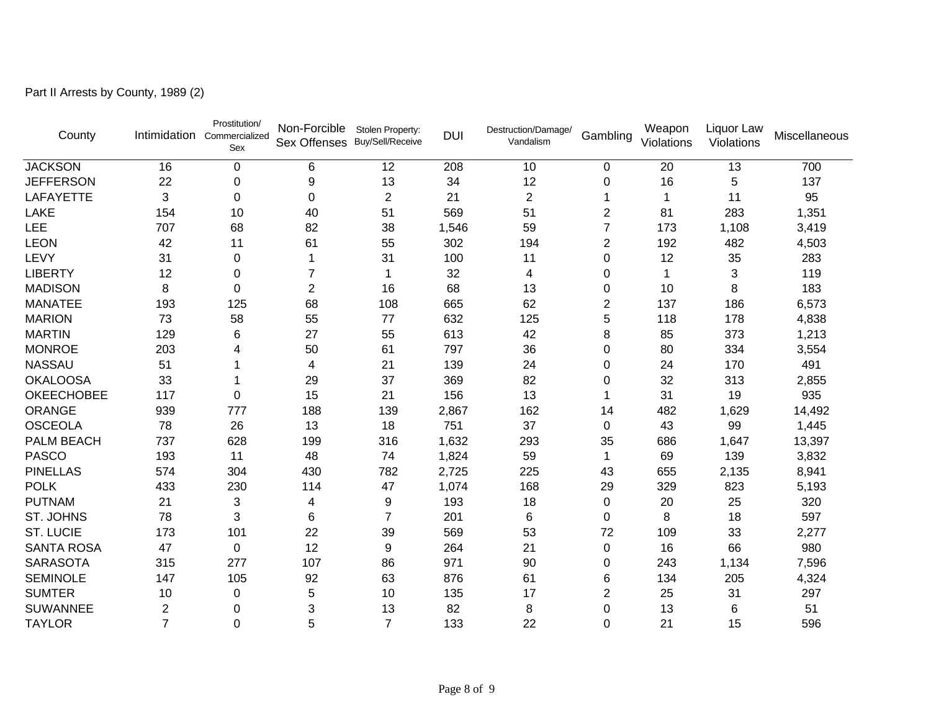Part II Arrests by County, 1989 (2)

| County            | Intimidation   | Prostitution/<br>Commercialized<br>Sex | Non-Forcible<br>Sex Offenses Buy/Sell/Receive | Stolen Property: | <b>DUI</b> | Destruction/Damage/<br>Vandalism | Gambling       | Weapon<br>Violations | Liquor Law<br>Violations | Miscellaneous |
|-------------------|----------------|----------------------------------------|-----------------------------------------------|------------------|------------|----------------------------------|----------------|----------------------|--------------------------|---------------|
| <b>JACKSON</b>    | 16             | $\mathbf 0$                            | 6                                             | 12               | 208        | 10                               | $\pmb{0}$      | 20                   | 13                       | 700           |
| <b>JEFFERSON</b>  | 22             | 0                                      | 9                                             | 13               | 34         | 12                               | 0              | 16                   | 5                        | 137           |
| <b>LAFAYETTE</b>  | 3              | 0                                      | 0                                             | $\overline{2}$   | 21         | $\overline{2}$                   |                |                      | 11                       | 95            |
| <b>LAKE</b>       | 154            | 10                                     | 40                                            | 51               | 569        | 51                               | 2              | 81                   | 283                      | 1,351         |
| LEE               | 707            | 68                                     | 82                                            | 38               | 1,546      | 59                               | 7              | 173                  | 1,108                    | 3,419         |
| <b>LEON</b>       | 42             | 11                                     | 61                                            | 55               | 302        | 194                              | $\overline{2}$ | 192                  | 482                      | 4,503         |
| LEVY              | 31             | 0                                      | 1                                             | 31               | 100        | 11                               | 0              | 12                   | 35                       | 283           |
| <b>LIBERTY</b>    | 12             | 0                                      | 7                                             | 1                | 32         | 4                                | 0              | 1                    | 3                        | 119           |
| <b>MADISON</b>    | 8              | 0                                      | $\overline{2}$                                | 16               | 68         | 13                               | 0              | 10                   | 8                        | 183           |
| <b>MANATEE</b>    | 193            | 125                                    | 68                                            | 108              | 665        | 62                               | $\overline{c}$ | 137                  | 186                      | 6,573         |
| <b>MARION</b>     | 73             | 58                                     | 55                                            | 77               | 632        | 125                              | 5              | 118                  | 178                      | 4,838         |
| <b>MARTIN</b>     | 129            | 6                                      | 27                                            | 55               | 613        | 42                               | 8              | 85                   | 373                      | 1,213         |
| <b>MONROE</b>     | 203            | 4                                      | 50                                            | 61               | 797        | 36                               | 0              | 80                   | 334                      | 3,554         |
| <b>NASSAU</b>     | 51             |                                        | 4                                             | 21               | 139        | 24                               | 0              | 24                   | 170                      | 491           |
| <b>OKALOOSA</b>   | 33             |                                        | 29                                            | 37               | 369        | 82                               | 0              | 32                   | 313                      | 2,855         |
| <b>OKEECHOBEE</b> | 117            | 0                                      | 15                                            | 21               | 156        | 13                               |                | 31                   | 19                       | 935           |
| <b>ORANGE</b>     | 939            | 777                                    | 188                                           | 139              | 2,867      | 162                              | 14             | 482                  | 1,629                    | 14,492        |
| <b>OSCEOLA</b>    | 78             | 26                                     | 13                                            | 18               | 751        | 37                               | 0              | 43                   | 99                       | 1,445         |
| PALM BEACH        | 737            | 628                                    | 199                                           | 316              | 1,632      | 293                              | 35             | 686                  | 1,647                    | 13,397        |
| <b>PASCO</b>      | 193            | 11                                     | 48                                            | 74               | 1,824      | 59                               | 1              | 69                   | 139                      | 3,832         |
| <b>PINELLAS</b>   | 574            | 304                                    | 430                                           | 782              | 2,725      | 225                              | 43             | 655                  | 2,135                    | 8,941         |
| <b>POLK</b>       | 433            | 230                                    | 114                                           | 47               | 1,074      | 168                              | 29             | 329                  | 823                      | 5,193         |
| <b>PUTNAM</b>     | 21             | 3                                      | 4                                             | 9                | 193        | 18                               | 0              | 20                   | 25                       | 320           |
| ST. JOHNS         | 78             | 3                                      | 6                                             | 7                | 201        | 6                                | 0              | 8                    | 18                       | 597           |
| <b>ST. LUCIE</b>  | 173            | 101                                    | 22                                            | 39               | 569        | 53                               | 72             | 109                  | 33                       | 2,277         |
| <b>SANTA ROSA</b> | 47             | $\mathbf 0$                            | 12                                            | 9                | 264        | 21                               | 0              | 16                   | 66                       | 980           |
| <b>SARASOTA</b>   | 315            | 277                                    | 107                                           | 86               | 971        | 90                               | 0              | 243                  | 1,134                    | 7,596         |
| <b>SEMINOLE</b>   | 147            | 105                                    | 92                                            | 63               | 876        | 61                               | 6              | 134                  | 205                      | 4,324         |
| <b>SUMTER</b>     | 10             | 0                                      | 5                                             | 10               | 135        | 17                               | 2              | 25                   | 31                       | 297           |
| <b>SUWANNEE</b>   | $\overline{c}$ | 0                                      | 3                                             | 13               | 82         | 8                                | 0              | 13                   | 6                        | 51            |
| <b>TAYLOR</b>     | $\overline{7}$ | 0                                      | 5                                             | $\overline{7}$   | 133        | 22                               | 0              | 21                   | 15                       | 596           |